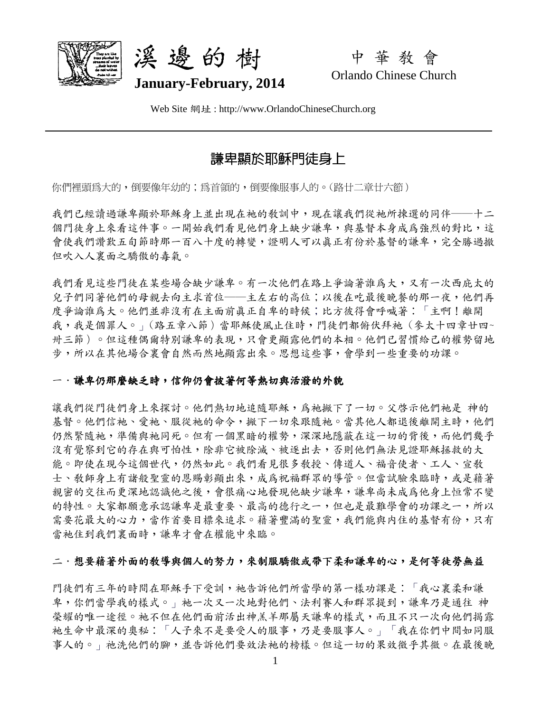



中 華 教 會 Orlando Chinese Church

Web Site 網址 : http://www.OrlandoChineseChurch.org

# 謙卑顯於耶穌門徒身上

你們裡頭爲大的,倒要像年幼的;爲首領的,倒要像服事人的。(路廿二章廿六節)

我們已經讀過謙卑顯於耶穌身上並出現在祂的敎訓中,現在讓我們從祂所揀選的同伴——十二 個門徒身上來看這件事。一開始我們看見他們身上缺少謙卑,與基督本身成為強烈的對比,這 會使我們讚歎五旬節時那一百八十度的轉變,證明人可以真正有份於基督的謙卑,完全勝過撤 但吹入人裏面之驕傲的毒氣。

我們看見這些門徒在某些場合缺少謙卑。有一次他們在路上爭論著誰為大,又有一次西庇太的 兒子們同著他們的母親去向主求首位——主左右的高位;以後在吃最後晚餐的那一夜,他們再 度爭論誰爲大。他們並非沒有在主面前真正自卑的時候;比方彼得會呼喊著:「主啊!離開 我,我是個罪人。」(路五章八節)當耶穌使風止住時,門徒們都俯伏拜衪(參太十四章廿四~ 卅三節)。但這種偶爾特別謙卑的表現,只會更顯露他們的本相。他們已習慣給己的權勢留地 步,所以在其他場合裏會自然而然地顯露出來。思想這些事,會學到一些重要的功課。

### 一.謙卑仍那麼缺乏時,信仰仍會披著何等熱切與活潑的外貌

讓我們從門徒們身上來探討。他們熱切地追隨耶穌,為衪撇下了一切。父啓示他們衪是 神的 基督。他們信祂、愛祂、服從祂的命令,撇下一切來跟隨祂。當其他人都退後離開主時,他們 仍然緊隨祂,準備與祂同死。但有一個黑暗的權勢,深深地隱蔽在這一切的背後,而他們幾乎 沒有覺察到它的存在與可怕性,除非它被除滅、被逐出去,否則他們無法見證耶穌拯救的大 能。即使在現今這個世代,仍然如此。我們看見很多教授、傳道人、福音使者、工人、宣教 士、教師身上有諸般聖靈的恩賜彰顯出來,成為祝福群眾的導管。但當試驗來臨時,或是藉著 親密的交往而更深地認識他之後,會很痛心地發現他缺少謙卑,謙卑尚未成為他身上恒常不變 的特性。大家都願意承認謙卑是最重要、最高的德行之一,但也是最難學會的功課之一,所以 需要花最大的心力,當作首要目標來追求。藉著豐滿的聖靈,我們能與內住的基督有份,只有 當祂住到我們裏面時,謙卑才會在權能中來臨。

### 二.想要藉著外面的教導與個人的努力,來制服驕傲或帶下柔和謙卑的心,是何等徒勞無益

門徒們有三年的時間在耶穌手下受訓,衪告訴他們所當學的第一樣功課是:「我心裏柔和謙 卑,你們當學我的樣式。」衪一次又一次地對他們、法利賽人和群眾提到,謙卑乃是通往 神 榮耀的唯一途徑。祂不但在他們面前活出神羔羊那屬天謙卑的樣式,而且不只一次向他們揭露 衪生命中最深的奧秘:「人子來不是要受人的服事,乃是要服事人。」「我在你們中間如同服 事人的。」祂洗他們的腳,並告訴他們要效法衪的榜樣。但這一切的果效微乎其微。在最後晚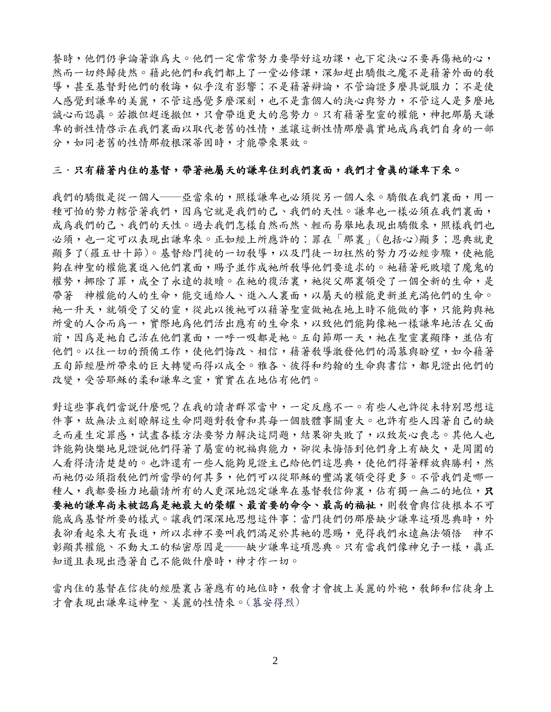餐時,他們仍爭論著誰為大。他們一定常常努力要學好這功課,也下定決心不要再傷祂的心, 然而一切終歸徒然。藉此他們和我們都上了一堂必修課,深知趕出驕傲之魔不是藉著外面的教 導,甚至基督對他們的教誨,似乎沒有影響;不是藉著辯論,不管論證多麼具説服力;不是使 人感覺到謙卑的美麗,不管這感覺多麼深刻,也不是靠個人的決心與努力,不管這人是多麼地 誠心而認真。若撒但趕逐撤但,只會帶進更大的惡勢力。只有藉著聖靈的權能,神把那屬天謙 卑的新性情啓示在我們裏面以取代老舊的性情,並讓這新性情那麼真實地成為我們自身的一部 分,如同老舊的性情那般根深蒂固時,才能帶來果效。

#### 三.只有藉著內住的基督,帶著祂屬天的謙卑住到我們裏面,我們才會真的謙卑下來。

我們的驕傲是從一個人——亞當來的,照樣謙卑也必須從另一個人來。驕傲在我們裏面,用一 種可怕的勢力轄管著我們,因為它就是我們的己、我們的天性。謙卑也一樣必須在我們裏面, 成為我們的己、我們的天性。過去我們怎樣自然而然、輕而易舉地表現出驕傲來,照樣我們也 必須,也一定可以表現出謙卑來。正如經上所應許的︰罪在「那裏」(包括心)顯多;恩典就更 顯多了(羅五廿十節)。基督給門徙的一切教導,以及門徒一切枉然的努力乃必經步驟,使祂能 夠在神聖的權能裏進入他們裏面,賜予並作成祂所敎導他們要追求的。祂藉著死敗壞了魔鬼的 權勢,挪除了罪,成全了永遠的救贖。在祂的復活裏,祂從父那裏領受了一個全新的生命,是 帶著 神權能的人的生命,能交通給人、進入人裏面,以屬天的權能更新並充滿他們的生命。 衪一升天,就領受了父的靈,從此以後衪可以藉著聖靈做衪在地上時不能做的事,只能夠與衪 所愛的人合而為一,實際地為他們活出應有的生命來,以致他們能夠像祂一樣謙卑地活在父面 前,因為是祂自己活在他們裏面,一呼一吸都是祂。五旬節那一天,祂在聖靈裏顯降,並佔有 他們。以往一切的預備工作,使他們悔改、相信,藉著教導激發他們的渴慕與盼望,如今藉著 五旬節經歷所帶來的巨大轉變而得以成全。雅各、彼得和約翰的生命與書信,都見證出他們的 改變,受苦耶穌的柔和謙卑之靈,實實在在地佔有他們。

對這些事我們當說什麼呢?在我的讀者群眾當中,一定反應不一。有些人也許從未特別思想這 件事,故無法立刻瞭解這生命問題對教會和其每一個肢體事關重大。也許有些人因著自己的缺 乏而產生定罪感,試盡各樣方法要努力解決這問題,結果卻失敗了,以致灰心喪志。其他人也 許能夠快樂地見證說他們得著了屬靈的祝福與能力,卻從未悔悟到他們身上有缺欠,是周圍的 人看得清清楚楚的。也許還有一些人能夠見證主已給他們這恩典,使他們得著釋放與勝利,然 而祂仍必須指敎他們所當學的何其多,他們可以從耶穌的豐滿裏領受得更多。不管我們是哪一 種人,我都要極力地籲請所有的人更深地認定謙卑在基督教信仰裏,佔有獨一無二的地位,只 要祂的謙卑尚未被認為是祂最大的榮耀、最首要的命令、最高的福祉,則敎會與信徒根本不可 能成為基督所要的樣式。讓我們深深地思想這件事:當門徒們仍那麼缺少謙卑這項恩典時,外 表卻看起來大有長進,所以求神不要叫我們滿足於其衪的恩賜,免得我們永遠無法領悟 神不 彰顯其權能、不動大工的秘密原因是——缺少謙卑這項恩典。只有當我們像神兒子一樣,真正 知道且表現出憑著自己不能做什麼時,神才作一切。

當内住的基督在信徒的經歷裏占著應有的地位時,教會才會披上美麗的外袍,教師和信徒身上 才會表現出謙卑這神聖、美麗的性情來。(慕安得烈)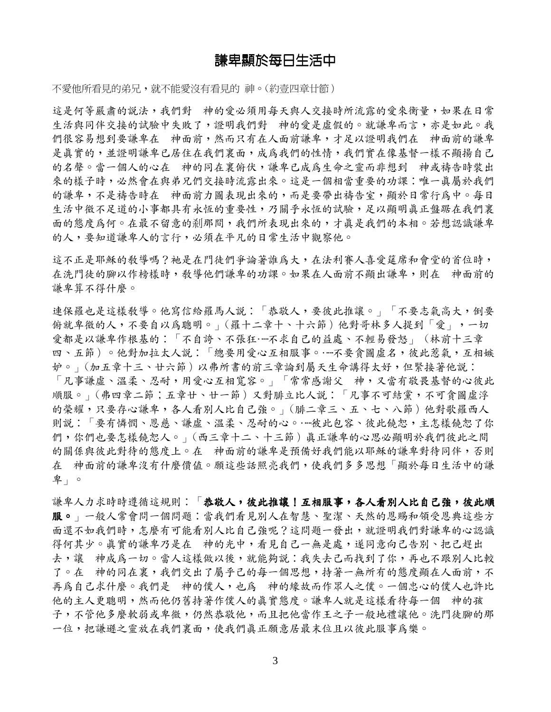## 謙卑顯於每日生活中

不愛他所看見的弟兄,就不能愛沒有看見的神。(約壹四章廿節)

這是何等嚴肅的說法,我們對 神的愛必須用每天與人交接時所流露的愛來衡量,如果在日常 生活與同伴交接的試驗中失敗了,證明我們對 神的愛是虛假的。就謙卑而言,亦是如此。我 們很容易想到要謙卑在 神面前,然而只有在人面前謙卑,才足以證明我們在 神面前的謙卑 是真實的,並證明謙卑已居住在我們裏面,成為我們的性情,我們實在像基督一樣不顯揚自己 的名聲。當一個人的心在 神的同在裏俯伏,謙卑已成為生命之靈而非想到 神或禱告時裝出 來的樣子時,必然會在與弟兄們交接時流露出來。這是一個相當重要的功課:唯一真屬於我們 的謙卑,不是禱告時在 神面前力圖表現出來的,而是要帶出禱告室,顯於日常行為中。每日 生活中微不足道的小事都具有永恆的重要性,乃關乎永恆的試驗,足以顯明真正盤踞在我們裏 面的態度為何。在最不留意的剎那間,我們所表現出來的,才真是我們的本相。若想認識謙卑 的人,要知道謙卑人的言行,必須在平凡的日常生活中觀察他。

這不正是耶穌的教導嗎?祂是在門徒們爭論著誰爲大,在法利賽人喜愛筵席和會堂的首位時, 在洗門徒的腳以作榜樣時,教導他們謙卑的功課。如果在人面前不顯出謙卑,則在 神面前的 謙卑算不得什麼。

連保羅也是這樣教導。他寫信給羅馬人說:「恭敬人,要彼此推讓。」「不要志氣高大,倒要 俯就卑微的人,不要自以為聰明。」(羅十二章十、十六節)他對哥林多人提到「愛」,一切 愛都是以謙卑作根基的:「不自誇、不張狂……不求自己的益處、不輕易發怒」(林前十三章 四、五節)。他對加拉太人說:「總要用愛心互相服事。……不要貪圖虛名,彼此惹氣,互相嫉 妒。」(加五章十三、廿六節)以弗所書的前三章論到屬天生命講得太好,但緊接著他說: 「凡事謙虛、溫柔、忍耐,用愛心互相寬容。」「常常感謝父 神,又當有敬畏基督的心彼此 順服。」(弗四章二節;五章廿、廿一節)又對腓立比人說:「凡事不可結黨,不可貪圖虛浮 的榮耀,只要存心謙卑,各人看別人比自己強。」(腓二章三、五、七、八節)他對歌羅西人 則說:「要有憐憫、恩慈、謙虛、溫柔、忍耐的心。……彼此包容、彼此饒恕,主怎樣饒恕了你 們,你們也要怎樣饒恕人。」(西三章十二、十三節)真正謙卑的心思必顯明於我們彼此之間 的關係與彼此對待的態度上。在 神面前的謙卑是預備好我們能以耶穌的謙卑對待同伴,否則 在 神面前的謙卑沒有什麼價值。願這些話照亮我們,使我們多多思想「顯於每日生活中的謙 卑」。

謙卑人力求時時遵循這規則:「恭敬人,彼此推讓!互相服事,各人看別人比自己強,彼此順 服。」一般人常會問一個問題:當我們看見別人在智慧、聖潔、天然的恩賜和領受恩典這些方 面還不如我們時,怎麼有可能看別人比自己強呢?這問題一發出,就證明我們對謙卑的心認識 得何其少。真實的謙卑乃是在 神的光中,看見自己一無是處,遂同意向己告別、把己趕出 去,讓 神成為一切。當人這樣做以後,就能夠說:我失去己而找到了你,再也不跟別人比較 了。在 神的同在裏,我們交出了屬乎己的每一個思想,持著一無所有的態度顯在人面前,不 再為自己求什麼。我們是 神的僕人,也為 神的緣故而作眾人之僕。一個忠心的僕人也許比 他的主人更聰明,然而他仍舊持著作僕人的真實態度。謙卑人就是這樣看待每一個 神的孩 子,不管他多麼軟弱或卑微,仍然恭敬他,而且把他當作王之子一般地禮讓他。洗門徒腳的那 一位,把謙遜之靈放在我們裏面,使我們真正願意居最末位且以彼此服事為樂。

3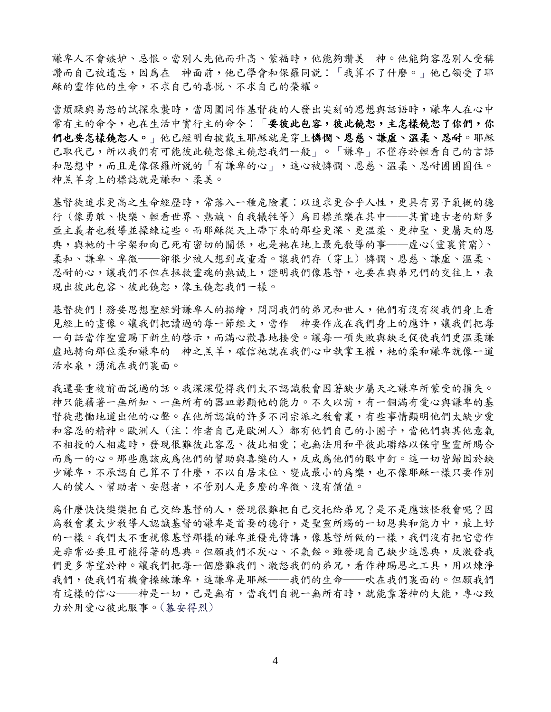謙卑人不會嫉妒、忌恨。當別人先他而升高、蒙福時,他能夠讚美 神。他能夠容忍別人受稱 讚而自己被遺忘,因為在 神面前,他已學會和保羅同說:「我算不了什麼。」他已領受了耶 穌的靈作他的生命,不求自己的喜悅、不求自己的榮耀。

當煩躁與易怒的試探來襲時,當周圍同作基督徒的人發出尖刻的思想與話語時,謙卑人在心中 常有主的命令,也在生活中實行主的命令:「要彼此包容,彼此饒恕,主怎樣饒恕了你們,你 們也要怎樣饒恕人。」他已經明白披戴主耶穌就是穿上憐憫、恩慈、謙虛、溫柔、忍耐。耶穌 已取代己,所以我們有可能彼此饒恕像主饒恕我們一般」。「謙卑」不僅存於輕看自己的言語 和思想中,而且是像保羅所說的「有謙卑的心」,這心被憐憫、恩慈、溫柔、忍耐團團圍住。 神羔羊身上的標誌就是謙和、柔美。

基督徒追求更高之生命經歷時,常落入一種危險裏:以追求更合乎人性,更具有男子氣概的德 行 (像勇敢、快樂、輕看世界、熱誠、自我犧牲等) 為目標並樂在其中──其實連古老的斯多 亞主義者也教導並操練這些。而耶穌從天上帶下來的那些更深、更溫柔、更神聖、更屬天的恩 典,與祂的十字架和向己死有密切的關係,也是祂在地上最先敎導的事——虛心(靈裏貧窮)、 柔和、謙卑、卑微──卻很少被人想到或重看。讓我們存 (穿上) 憐憫、恩慈、謙虛、溫柔、 忍耐的心,讓我們不但在拯救靈魂的熱誠上,證明我們像基督,也要在與弟兄們的交往上,表 現出彼此包容、彼此饒恕,像主饒恕我們一樣。

基督徒們!務要思想聖對謙卑人的描繪,問問我們的弟兄和世人,他們有沒有從我們身上看 見經上的書像。讓我們把讀過的每一節經文,當作 神要作成在我們身上的應許,讓我們把每 一句話當作聖靈賜下新生的啓示,而滿心歡喜地接受。讓每一項失敗與缺乏促使我們更溫柔謙 虚地轉向那位柔和謙卑的 神之羔羊,確信祂就在我們心中執掌王權,祂的柔和謙卑就像一道 活水泉,湧流在我們裏面。

我還要重複前面說過的話。我深深覺得我們太不認識教會因著缺少屬天之謙卑所蒙受的損失。 神只能藉著一無所知、一無所有的器皿彰顯他的能力。不久以前,有一個滿有愛心與謙卑的基 督徒悲慟地道出他的心聲。在他所認識的許多不同宗派之教會裏,有些事情顯明他們太缺少愛 和容忍的精神。歐洲人 (注:作者自己是歐洲人) 都有他們自己的小圈子,當他們與其他意氣 不相投的人相處時,發現很難彼此容忍、彼此相愛;也無法用和平彼此聯絡以保守聖靈所賜合 而為一的心。那些應該成為他們的幫助與喜樂的人,反成為他們的眼中釘。這一切皆歸因於缺 少謙卑,不承認自己算不了什麼,不以自居末位、變成最小的爲樂,也不像耶穌一樣只要作別 人的僕人、幫助者、安慰者,不管別人是多麼的卑微、沒有價值。

為什麼快快樂樂把自己交給基督的人,發現很難把自己交托給弟兄?是不是應該怪教會呢?因 為教會裏太少教導人認識基督的謙卑是首要的德行,是聖靈所賜的一切恩典和能力中,最上好 的一樣。我們太不重視像基督那樣的謙卑並優先傳講,像基督所做的一樣,我們沒有把它當作 是非常必要且可能得著的恩典。但願我們不灰心、不氣餒。雖發現自己缺少這恩典,反激發我 們更多寄望於神。讓我們把每一個磨難我們、激怒我們的弟兄,看作神賜恩之工具,用以煉淨 我們,使我們有機會操練謙卑,這謙卑是耶穌——我們的生命——吹在我們裏面的。但願我們 有這樣的信心——神是一切,己是無有,當我們自視一無所有時,就能靠著神的大能,專心致 力於用愛心彼此服事。(慕安得烈)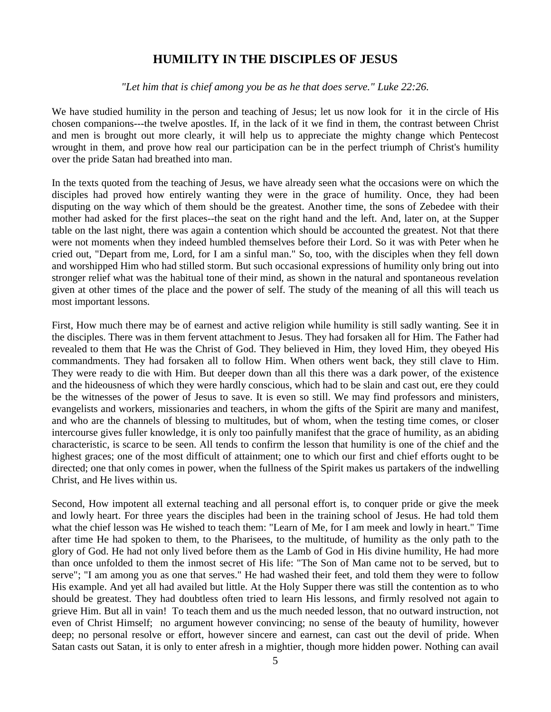# **HUMILITY IN THE DISCIPLES OF JESUS**

*"Let him that is chief among you be as he that does serve." Luke 22:26.* 

We have studied humility in the person and teaching of Jesus; let us now look for it in the circle of His chosen companions---the twelve apostles. If, in the lack of it we find in them, the contrast between Christ and men is brought out more clearly, it will help us to appreciate the mighty change which Pentecost wrought in them, and prove how real our participation can be in the perfect triumph of Christ's humility over the pride Satan had breathed into man.

In the texts quoted from the teaching of Jesus, we have already seen what the occasions were on which the disciples had proved how entirely wanting they were in the grace of humility. Once, they had been disputing on the way which of them should be the greatest. Another time, the sons of Zebedee with their mother had asked for the first places--the seat on the right hand and the left. And, later on, at the Supper table on the last night, there was again a contention which should be accounted the greatest. Not that there were not moments when they indeed humbled themselves before their Lord. So it was with Peter when he cried out, "Depart from me, Lord, for I am a sinful man." So, too, with the disciples when they fell down and worshipped Him who had stilled storm. But such occasional expressions of humility only bring out into stronger relief what was the habitual tone of their mind, as shown in the natural and spontaneous revelation given at other times of the place and the power of self. The study of the meaning of all this will teach us most important lessons.

First, How much there may be of earnest and active religion while humility is still sadly wanting. See it in the disciples. There was in them fervent attachment to Jesus. They had forsaken all for Him. The Father had revealed to them that He was the Christ of God. They believed in Him, they loved Him, they obeyed His commandments. They had forsaken all to follow Him. When others went back, they still clave to Him. They were ready to die with Him. But deeper down than all this there was a dark power, of the existence and the hideousness of which they were hardly conscious, which had to be slain and cast out, ere they could be the witnesses of the power of Jesus to save. It is even so still. We may find professors and ministers, evangelists and workers, missionaries and teachers, in whom the gifts of the Spirit are many and manifest, and who are the channels of blessing to multitudes, but of whom, when the testing time comes, or closer intercourse gives fuller knowledge, it is only too painfully manifest that the grace of humility, as an abiding characteristic, is scarce to be seen. All tends to confirm the lesson that humility is one of the chief and the highest graces; one of the most difficult of attainment; one to which our first and chief efforts ought to be directed; one that only comes in power, when the fullness of the Spirit makes us partakers of the indwelling Christ, and He lives within us.

Second, How impotent all external teaching and all personal effort is, to conquer pride or give the meek and lowly heart. For three years the disciples had been in the training school of Jesus. He had told them what the chief lesson was He wished to teach them: "Learn of Me, for I am meek and lowly in heart." Time after time He had spoken to them, to the Pharisees, to the multitude, of humility as the only path to the glory of God. He had not only lived before them as the Lamb of God in His divine humility, He had more than once unfolded to them the inmost secret of His life: "The Son of Man came not to be served, but to serve"; "I am among you as one that serves." He had washed their feet, and told them they were to follow His example. And yet all had availed but little. At the Holy Supper there was still the contention as to who should be greatest. They had doubtless often tried to learn His lessons, and firmly resolved not again to grieve Him. But all in vain! To teach them and us the much needed lesson, that no outward instruction, not even of Christ Himself; no argument however convincing; no sense of the beauty of humility, however deep; no personal resolve or effort, however sincere and earnest, can cast out the devil of pride. When Satan casts out Satan, it is only to enter afresh in a mightier, though more hidden power. Nothing can avail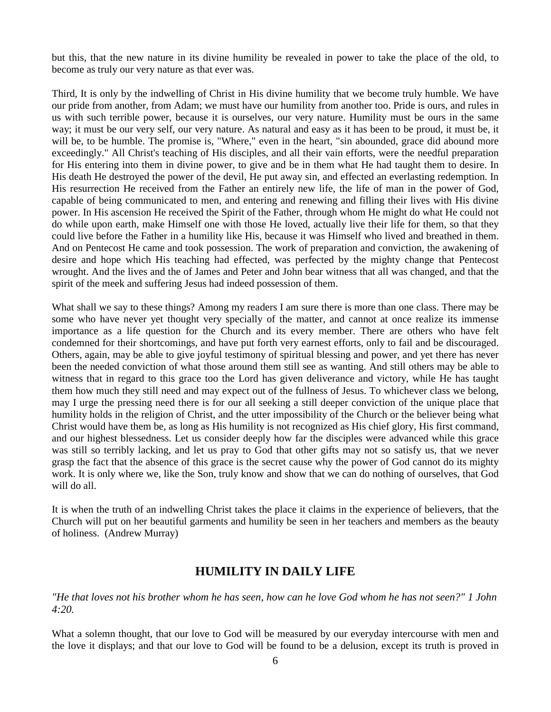but this, that the new nature in its divine humility be revealed in power to take the place of the old, to become as truly our very nature as that ever was.

Third, It is only by the indwelling of Christ in His divine humility that we become truly humble. We have our pride from another, from Adam; we must have our humility from another too. Pride is ours, and rules in us with such terrible power, because it is ourselves, our very nature. Humility must be ours in the same way; it must be our very self, our very nature. As natural and easy as it has been to be proud, it must be, it will be, to be humble. The promise is, "Where," even in the heart, "sin abounded, grace did abound more exceedingly." All Christ's teaching of His disciples, and all their vain efforts, were the needful preparation for His entering into them in divine power, to give and be in them what He had taught them to desire. In His death He destroyed the power of the devil, He put away sin, and effected an everlasting redemption. In His resurrection He received from the Father an entirely new life, the life of man in the power of God, capable of being communicated to men, and entering and renewing and filling their lives with His divine power. In His ascension He received the Spirit of the Father, through whom He might do what He could not do while upon earth, make Himself one with those He loved, actually live their life for them, so that they could live before the Father in a humility like His, because it was Himself who lived and breathed in them. And on Pentecost He came and took possession. The work of preparation and conviction, the awakening of desire and hope which His teaching had effected, was perfected by the mighty change that Pentecost wrought. And the lives and the of James and Peter and John bear witness that all was changed, and that the spirit of the meek and suffering Jesus had indeed possession of them.

What shall we say to these things? Among my readers I am sure there is more than one class. There may be some who have never yet thought very specially of the matter, and cannot at once realize its immense importance as a life question for the Church and its every member. There are others who have felt condemned for their shortcomings, and have put forth very earnest efforts, only to fail and be discouraged. Others, again, may be able to give joyful testimony of spiritual blessing and power, and yet there has never been the needed conviction of what those around them still see as wanting. And still others may be able to witness that in regard to this grace too the Lord has given deliverance and victory, while He has taught them how much they still need and may expect out of the fullness of Jesus. To whichever class we belong, may I urge the pressing need there is for our all seeking a still deeper conviction of the unique place that humility holds in the religion of Christ, and the utter impossibility of the Church or the believer being what Christ would have them be, as long as His humility is not recognized as His chief glory, His first command, and our highest blessedness. Let us consider deeply how far the disciples were advanced while this grace was still so terribly lacking, and let us pray to God that other gifts may not so satisfy us, that we never grasp the fact that the absence of this grace is the secret cause why the power of God cannot do its mighty work. It is only where we, like the Son, truly know and show that we can do nothing of ourselves, that God will do all.

It is when the truth of an indwelling Christ takes the place it claims in the experience of believers, that the Church will put on her beautiful garments and humility be seen in her teachers and members as the beauty of holiness. (Andrew Murray)

### **HUMILITY IN DAILY LIFE**

*"He that loves not his brother whom he has seen, how can he love God whom he has not seen?" 1 John 4:20.* 

What a solemn thought, that our love to God will be measured by our everyday intercourse with men and the love it displays; and that our love to God will be found to be a delusion, except its truth is proved in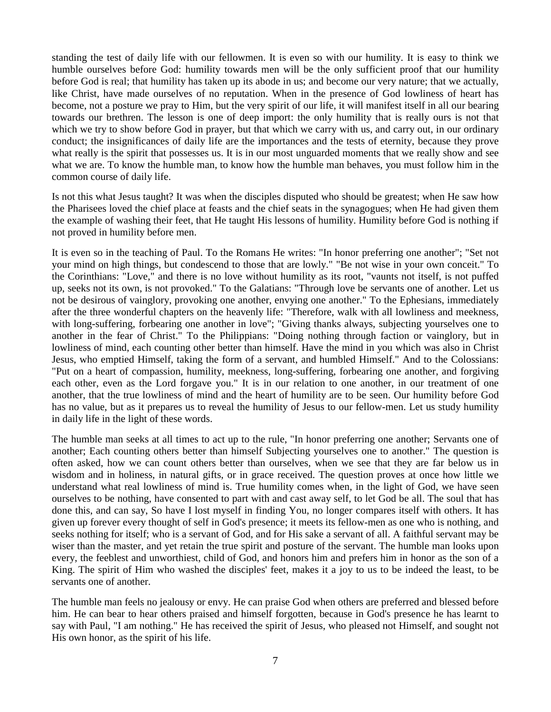standing the test of daily life with our fellowmen. It is even so with our humility. It is easy to think we humble ourselves before God: humility towards men will be the only sufficient proof that our humility before God is real; that humility has taken up its abode in us; and become our very nature; that we actually, like Christ, have made ourselves of no reputation. When in the presence of God lowliness of heart has become, not a posture we pray to Him, but the very spirit of our life, it will manifest itself in all our bearing towards our brethren. The lesson is one of deep import: the only humility that is really ours is not that which we try to show before God in prayer, but that which we carry with us, and carry out, in our ordinary conduct; the insignificances of daily life are the importances and the tests of eternity, because they prove what really is the spirit that possesses us. It is in our most unguarded moments that we really show and see what we are. To know the humble man, to know how the humble man behaves, you must follow him in the common course of daily life.

Is not this what Jesus taught? It was when the disciples disputed who should be greatest; when He saw how the Pharisees loved the chief place at feasts and the chief seats in the synagogues; when He had given them the example of washing their feet, that He taught His lessons of humility. Humility before God is nothing if not proved in humility before men.

It is even so in the teaching of Paul. To the Romans He writes: "In honor preferring one another"; "Set not your mind on high things, but condescend to those that are lowly." "Be not wise in your own conceit." To the Corinthians: "Love," and there is no love without humility as its root, "vaunts not itself, is not puffed up, seeks not its own, is not provoked." To the Galatians: "Through love be servants one of another. Let us not be desirous of vainglory, provoking one another, envying one another." To the Ephesians, immediately after the three wonderful chapters on the heavenly life: "Therefore, walk with all lowliness and meekness, with long-suffering, forbearing one another in love"; "Giving thanks always, subjecting yourselves one to another in the fear of Christ." To the Philippians: "Doing nothing through faction or vainglory, but in lowliness of mind, each counting other better than himself. Have the mind in you which was also in Christ Jesus, who emptied Himself, taking the form of a servant, and humbled Himself." And to the Colossians: "Put on a heart of compassion, humility, meekness, long-suffering, forbearing one another, and forgiving each other, even as the Lord forgave you." It is in our relation to one another, in our treatment of one another, that the true lowliness of mind and the heart of humility are to be seen. Our humility before God has no value, but as it prepares us to reveal the humility of Jesus to our fellow-men. Let us study humility in daily life in the light of these words.

The humble man seeks at all times to act up to the rule, "In honor preferring one another; Servants one of another; Each counting others better than himself Subjecting yourselves one to another." The question is often asked, how we can count others better than ourselves, when we see that they are far below us in wisdom and in holiness, in natural gifts, or in grace received. The question proves at once how little we understand what real lowliness of mind is. True humility comes when, in the light of God, we have seen ourselves to be nothing, have consented to part with and cast away self, to let God be all. The soul that has done this, and can say, So have I lost myself in finding You, no longer compares itself with others. It has given up forever every thought of self in God's presence; it meets its fellow-men as one who is nothing, and seeks nothing for itself; who is a servant of God, and for His sake a servant of all. A faithful servant may be wiser than the master, and yet retain the true spirit and posture of the servant. The humble man looks upon every, the feeblest and unworthiest, child of God, and honors him and prefers him in honor as the son of a King. The spirit of Him who washed the disciples' feet, makes it a joy to us to be indeed the least, to be servants one of another.

The humble man feels no jealousy or envy. He can praise God when others are preferred and blessed before him. He can bear to hear others praised and himself forgotten, because in God's presence he has learnt to say with Paul, "I am nothing." He has received the spirit of Jesus, who pleased not Himself, and sought not His own honor, as the spirit of his life.